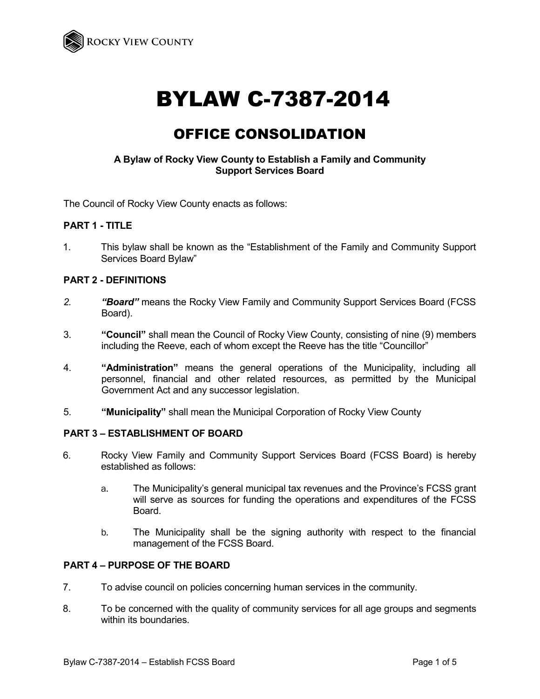

# BYLAW C-7387-2014

# OFFICE CONSOLIDATION

#### **A Bylaw of Rocky View County to Establish a Family and Community Support Services Board**

The Council of Rocky View County enacts as follows:

#### **PART 1 - TITLE**

1. This bylaw shall be known as the "Establishment of the Family and Community Support Services Board Bylaw"

#### **PART 2 - DEFINITIONS**

- *2. "Board"* means the Rocky View Family and Community Support Services Board (FCSS Board).
- 3. **"Council"** shall mean the Council of Rocky View County, consisting of nine (9) members including the Reeve, each of whom except the Reeve has the title "Councillor"
- 4. **"Administration"** means the general operations of the Municipality, including all personnel, financial and other related resources, as permitted by the Municipal Government Act and any successor legislation.
- 5. **"Municipality"** shall mean the Municipal Corporation of Rocky View County

#### **PART 3 – ESTABLISHMENT OF BOARD**

- 6. Rocky View Family and Community Support Services Board (FCSS Board) is hereby established as follows:
	- a. The Municipality's general municipal tax revenues and the Province's FCSS grant will serve as sources for funding the operations and expenditures of the FCSS Board.
	- b. The Municipality shall be the signing authority with respect to the financial management of the FCSS Board.

#### **PART 4 – PURPOSE OF THE BOARD**

- 7. To advise council on policies concerning human services in the community.
- 8. To be concerned with the quality of community services for all age groups and segments within its boundaries.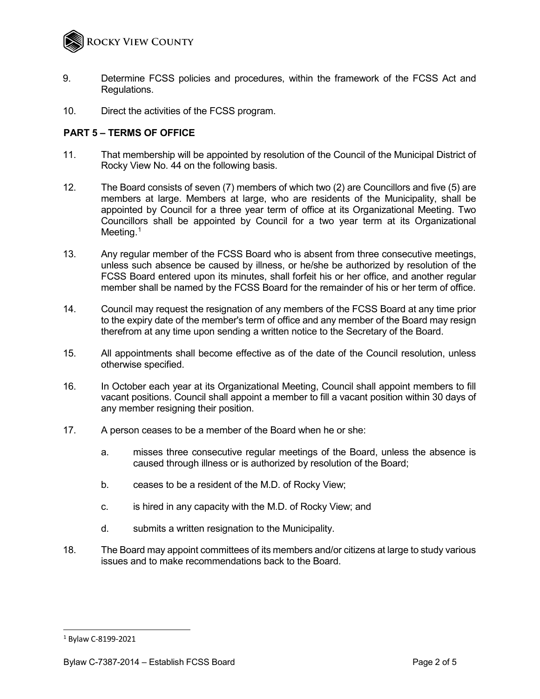

- 9. Determine FCSS policies and procedures, within the framework of the FCSS Act and Regulations.
- 10. Direct the activities of the FCSS program.

## **PART 5 – TERMS OF OFFICE**

- 11. That membership will be appointed by resolution of the Council of the Municipal District of Rocky View No. 44 on the following basis.
- 12. The Board consists of seven (7) members of which two (2) are Councillors and five (5) are members at large. Members at large, who are residents of the Municipality, shall be appointed by Council for a three year term of office at its Organizational Meeting. Two Councillors shall be appointed by Council for a two year term at its Organizational Meeting.<sup>1</sup>
- 13. Any regular member of the FCSS Board who is absent from three consecutive meetings, unless such absence be caused by illness, or he/she be authorized by resolution of the FCSS Board entered upon its minutes, shall forfeit his or her office, and another regular member shall be named by the FCSS Board for the remainder of his or her term of office.
- 14. Council may request the resignation of any members of the FCSS Board at any time prior to the expiry date of the member's term of office and any member of the Board may resign therefrom at any time upon sending a written notice to the Secretary of the Board.
- 15. All appointments shall become effective as of the date of the Council resolution, unless otherwise specified.
- 16. In October each year at its Organizational Meeting, Council shall appoint members to fill vacant positions. Council shall appoint a member to fill a vacant position within 30 days of any member resigning their position.
- 17. A person ceases to be a member of the Board when he or she:
	- a. misses three consecutive regular meetings of the Board, unless the absence is caused through illness or is authorized by resolution of the Board;
	- b. ceases to be a resident of the M.D. of Rocky View;
	- c. is hired in any capacity with the M.D. of Rocky View; and
	- d. submits a written resignation to the Municipality.
- 18. The Board may appoint committees of its members and/or citizens at large to study various issues and to make recommendations back to the Board.

-

<span id="page-1-0"></span><sup>1</sup> Bylaw C-8199-2021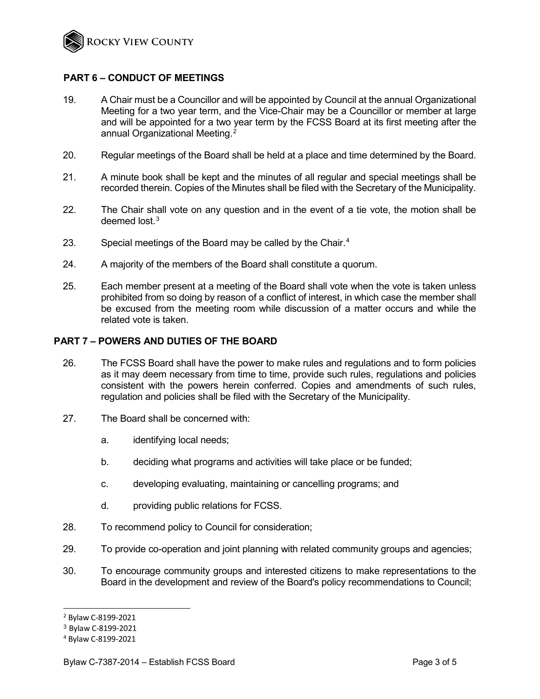

#### **PART 6 – CONDUCT OF MEETINGS**

- 19. A Chair must be a Councillor and will be appointed by Council at the annual Organizational Meeting for a two year term, and the Vice-Chair may be a Councillor or member at large and will be appointed for a two year term by the FCSS Board at its first meeting after the annual Organizational Meeting. [2](#page-2-0)
- 20. Regular meetings of the Board shall be held at a place and time determined by the Board.
- 21. A minute book shall be kept and the minutes of all regular and special meetings shall be recorded therein. Copies of the Minutes shall be filed with the Secretary of the Municipality.
- 22. The Chair shall vote on any question and in the event of a tie vote, the motion shall be deemed lost.[3](#page-2-1)
- 23. Special meetings of the Board may be called by the Chair.<sup>[4](#page-2-2)</sup>
- 24. A majority of the members of the Board shall constitute a quorum.
- 25. Each member present at a meeting of the Board shall vote when the vote is taken unless prohibited from so doing by reason of a conflict of interest, in which case the member shall be excused from the meeting room while discussion of a matter occurs and while the related vote is taken.

#### **PART 7 – POWERS AND DUTIES OF THE BOARD**

- 26. The FCSS Board shall have the power to make rules and regulations and to form policies as it may deem necessary from time to time, provide such rules, regulations and policies consistent with the powers herein conferred. Copies and amendments of such rules, regulation and policies shall be filed with the Secretary of the Municipality.
- 27. The Board shall be concerned with:
	- a. identifying local needs;
	- b. deciding what programs and activities will take place or be funded;
	- c. developing evaluating, maintaining or cancelling programs; and
	- d. providing public relations for FCSS.
- 28. To recommend policy to Council for consideration;
- 29. To provide co-operation and joint planning with related community groups and agencies;
- 30. To encourage community groups and interested citizens to make representations to the Board in the development and review of the Board's policy recommendations to Council;

j

<span id="page-2-0"></span><sup>2</sup> Bylaw C-8199-2021

<span id="page-2-1"></span><sup>3</sup> Bylaw C-8199-2021

<span id="page-2-2"></span><sup>4</sup> Bylaw C-8199-2021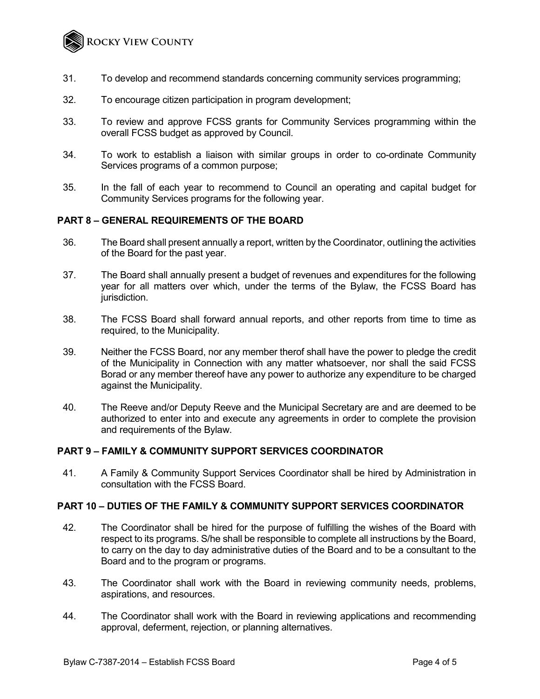

- 31. To develop and recommend standards concerning community services programming;
- 32. To encourage citizen participation in program development;
- 33. To review and approve FCSS grants for Community Services programming within the overall FCSS budget as approved by Council.
- 34. To work to establish a liaison with similar groups in order to co-ordinate Community Services programs of a common purpose;
- 35. In the fall of each year to recommend to Council an operating and capital budget for Community Services programs for the following year.

#### **PART 8 – GENERAL REQUIREMENTS OF THE BOARD**

- 36. The Board shall present annually a report, written by the Coordinator, outlining the activities of the Board for the past year.
- 37. The Board shall annually present a budget of revenues and expenditures for the following year for all matters over which, under the terms of the Bylaw, the FCSS Board has jurisdiction.
- 38. The FCSS Board shall forward annual reports, and other reports from time to time as required, to the Municipality.
- 39. Neither the FCSS Board, nor any member therof shall have the power to pledge the credit of the Municipality in Connection with any matter whatsoever, nor shall the said FCSS Borad or any member thereof have any power to authorize any expenditure to be charged against the Municipality.
- 40. The Reeve and/or Deputy Reeve and the Municipal Secretary are and are deemed to be authorized to enter into and execute any agreements in order to complete the provision and requirements of the Bylaw.

## **PART 9 – FAMILY & COMMUNITY SUPPORT SERVICES COORDINATOR**

41. A Family & Community Support Services Coordinator shall be hired by Administration in consultation with the FCSS Board.

#### **PART 10 – DUTIES OF THE FAMILY & COMMUNITY SUPPORT SERVICES COORDINATOR**

- 42. The Coordinator shall be hired for the purpose of fulfilling the wishes of the Board with respect to its programs. S/he shall be responsible to complete all instructions by the Board, to carry on the day to day administrative duties of the Board and to be a consultant to the Board and to the program or programs.
- 43. The Coordinator shall work with the Board in reviewing community needs, problems, aspirations, and resources.
- 44. The Coordinator shall work with the Board in reviewing applications and recommending approval, deferment, rejection, or planning alternatives.